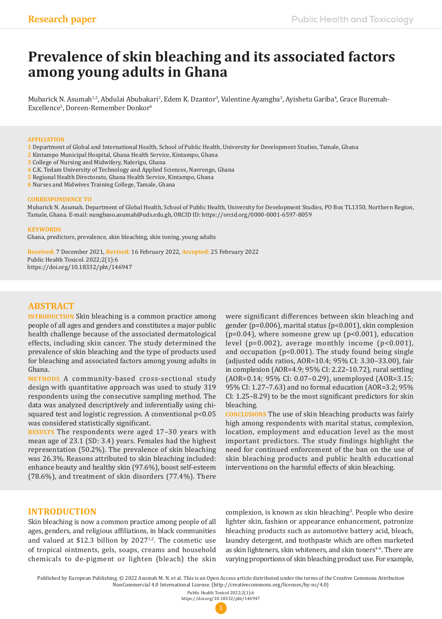# **Prevalence of skin bleaching and its associated factors among young adults in Ghana**

Mubarick N. Asumah<sup>1,2</sup>, Abdulai Abubakari<sup>2</sup>, Edem K. Dzantor<sup>3</sup>, Valentine Ayamgba<sup>3</sup>, Ayishetu Gariba<sup>4</sup>, Grace Buremah-Excellence<sup>5</sup>, Doreen-Remember Donkor<sup>6</sup>

#### **AFFILIATION**

- **1** Department of Global and International Health, School of Public Health, University for Development Studies, Tamale, Ghana
- **2** Kintampo Municipal Hospital, Ghana Health Service, Kintampo, Ghana
- **3** College of Nursing and Midwifery, Nalerigu, Ghana
- **4** C.K. Tedam University of Technology and Applied Sciences, Navrongo, Ghana
- **5** Regional Health Directorate, Ghana Health Service, Kintampo, Ghana
- **6** Nurses and Midwives Training College, Tamale, Ghana

#### **CORRESPONDENCE TO**

Mubarick N. Asumah. Department of Global Health, School of Public Health, University for Development Studies, PO Box TL1350, Northern Region, Tamale, Ghana. E-mail: nungbaso.asumah@uds.edu.gh, ORCID ID: https://orcid.org/0000-0001-6597-8059

#### **KEYWORDS**

Ghana, predictors, prevalence, skin bleaching, skin toning, young adults

**Received:** 7 December 2021, **Revised:** 16 February 2022, **Accepted:** 25 February 2022 Public Health Toxicol. 2022;2(1):6 https://doi.org/10.18332/pht/146947

# **ABSTRACT**

**INTRODUCTION** Skin bleaching is a common practice among people of all ages and genders and constitutes a major public health challenge because of the associated dermatological effects, including skin cancer. The study determined the prevalence of skin bleaching and the type of products used for bleaching and associated factors among young adults in Ghana.

**METHODS** A community-based cross-sectional study design with quantitative approach was used to study 319 respondents using the consecutive sampling method. The data was analyzed descriptively and inferentially using chisquared test and logistic regression. A conventional p<0.05 was considered statistically significant.

**RESULTS** The respondents were aged 17–30 years with mean age of 23.1 (SD: 3.4) years. Females had the highest representation (50.2%). The prevalence of skin bleaching was 26.3%. Reasons attributed to skin bleaching included: enhance beauty and healthy skin (97.6%), boost self-esteem (78.6%), and treatment of skin disorders (77.4%). There

were significant differences between skin bleaching and gender (p=0.006), marital status (p<0.001), skin complexion (p=0.04), where someone grew up (p<0.001), education level (p=0.002), average monthly income (p<0.001), and occupation (p<0.001). The study found being single (adjusted odds ratios, AOR=10.4; 95% CI: 3.30–33.00), fair in complexion (AOR=4.9; 95% CI: 2.22–10.72), rural settling (AOR=0.14; 95% CI: 0.07–0.29), unemployed (AOR=3.15; 95% CI: 1.27–7.63) and no formal education (AOR=3.2; 95% CI: 1.25–8.29) to be the most significant predictors for skin bleaching.

**CONCLUSIONS** The use of skin bleaching products was fairly high among respondents with marital status, complexion, location, employment and education level as the most important predictors. The study findings highlight the need for continued enforcement of the ban on the use of skin bleaching products and public health educational interventions on the harmful effects of skin bleaching.

### **INTRODUCTION**

Skin bleaching is now a common practice among people of all ages, genders, and religious affiliations, in black communities and valued at \$12.3 billion by  $2027^{1,2}$ . The cosmetic use of tropical ointments, gels, soaps, creams and household chemicals to de-pigment or lighten (bleach) the skin

complexion, is known as skin bleaching<sup>3</sup>. People who desire lighter skin, fashion or appearance enhancement, patronize bleaching products such as automotive battery acid, bleach, laundry detergent, and toothpaste which are often marketed as skin lighteners, skin whiteners, and skin toners<sup>4-6</sup>. There are varying proportions of skin bleaching product use. For example,

Public Health Toxicol 2022;2(1):6 https://doi.org/10.18332/pht/146947



Published by European Publishing. © 2022 Asumah M. N. et al. This is an Open Access article distributed under the terms of the Creative Commons Attribution NonCommercial 4.0 International License. (http://creativecommons.org/licenses/by-nc/4.0)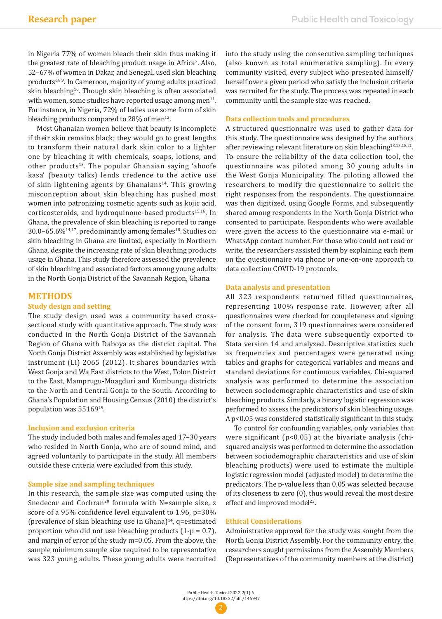in Nigeria 77% of women bleach their skin thus making it the greatest rate of bleaching product usage in Africa'. Also, 52–67% of women in Dakar, and Senegal, used skin bleaching products<sup>6,8,9</sup>. In Cameroon, majority of young adults practiced skin bleaching<sup>10</sup>. Though skin bleaching is often associated with women, some studies have reported usage among men<sup>11</sup>. For instance, in Nigeria, 72% of ladies use some form of skin bleaching products compared to  $28\%$  of men<sup>12</sup>.

Most Ghanaian women believe that beauty is incomplete if their skin remains black; they would go to great lengths to transform their natural dark skin color to a lighter one by bleaching it with chemicals, soaps, lotions, and other products $13$ . The popular Ghanaian saying 'ahoofe kasa' (beauty talks) lends credence to the active use of skin lightening agents by Ghanaians<sup>14</sup>. This growing misconception about skin bleaching has pushed most women into patronizing cosmetic agents such as kojic acid, corticosteroids, and hydroquinone-based products<sup>15,16</sup>. In Ghana, the prevalence of skin bleaching is reported to range 30.0–65.6%<sup>14,17</sup>, predominantly among females<sup>18</sup>. Studies on skin bleaching in Ghana are limited, especially in Northern Ghana, despite the increasing rate of skin bleaching products usage in Ghana. This study therefore assessed the prevalence of skin bleaching and associated factors among young adults in the North Gonja District of the Savannah Region, Ghana.

### **METHODS**

### **Study design and setting**

The study design used was a community based crosssectional study with quantitative approach. The study was conducted in the North Gonja District of the Savannah Region of Ghana with Daboya as the district capital. The North Gonja District Assembly was established by legislative instrument (LI) 2065 (2012). It shares boundaries with West Gonja and Wa East districts to the West, Tolon District to the East, Mamprugu-Moagduri and Kumbungu districts to the North and Central Gonja to the South. According to Ghana's Population and Housing Census (2010) the district's population was 5516919.

#### **Inclusion and exclusion criteria**

The study included both males and females aged 17–30 years who resided in North Gonja, who are of sound mind, and agreed voluntarily to participate in the study. All members outside these criteria were excluded from this study.

#### **Sample size and sampling techniques**

In this research, the sample size was computed using the Snedecor and Cochran<sup>20</sup> formula with N=sample size, z score of a 95% confidence level equivalent to 1.96, p=30% (prevalence of skin bleaching use in Ghana)14, q=estimated proportion who did not use bleaching products (1-p = 0.7), and margin of error of the study m=0.05. From the above, the sample minimum sample size required to be representative was 323 young adults. These young adults were recruited into the study using the consecutive sampling techniques (also known as total enumerative sampling). In every community visited, every subject who presented himself/ herself over a given period who satisfy the inclusion criteria was recruited for the study. The process was repeated in each community until the sample size was reached.

### **Data collection tools and procedures**

A structured questionnaire was used to gather data for this study. The questionnaire was designed by the authors after reviewing relevant literature on skin bleaching<sup>13,15,18,21</sup>. To ensure the reliability of the data collection tool, the questionnaire was piloted among 30 young adults in the West Gonja Municipality. The piloting allowed the researchers to modify the questionnaire to solicit the right responses from the respondents. The questionnaire was then digitized, using Google Forms, and subsequently shared among respondents in the North Gonja District who consented to participate. Respondents who were available were given the access to the questionnaire via e-mail or WhatsApp contact number. For those who could not read or write, the researchers assisted them by explaining each item on the questionnaire via phone or one-on-one approach to data collection COVID-19 protocols.

### **Data analysis and presentation**

All 323 respondents returned filled questionnaires, representing 100% response rate. However, after all questionnaires were checked for completeness and signing of the consent form, 319 questionnaires were considered for analysis. The data were subsequently exported to Stata version 14 and analyzed. Descriptive statistics such as frequencies and percentages were generated using tables and graphs for categorical variables and means and standard deviations for continuous variables. Chi-squared analysis was performed to determine the association between sociodemographic characteristics and use of skin bleaching products. Similarly, a binary logistic regression was performed to assess the predicators of skin bleaching usage. A p<0.05 was considered statistically significant in this study.

To control for confounding variables, only variables that were significant (p<0.05) at the bivariate analysis (chisquared analysis was performed to determine the association between sociodemographic characteristics and use of skin bleaching products) were used to estimate the multiple logistic regression model (adjusted model) to determine the predicators. The p-value less than 0.05 was selected because of its closeness to zero (0), thus would reveal the most desire effect and improved model<sup>22</sup>.

### **Ethical Considerations**

Administrative approval for the study was sought from the North Gonja District Assembly. For the community entry, the researchers sought permissions from the Assembly Members (Representatives of the community members at the district)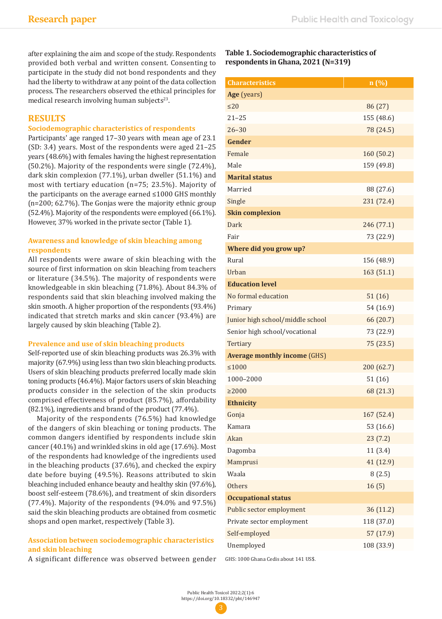after explaining the aim and scope of the study. Respondents provided both verbal and written consent. Consenting to participate in the study did not bond respondents and they had the liberty to withdraw at any point of the data collection process. The researchers observed the ethical principles for medical research involving human subjects<sup>23</sup>.

# **RESULTS**

### **Sociodemographic characteristics of respondents**

Participants' age ranged 17–30 years with mean age of 23.1 (SD: 3.4) years. Most of the respondents were aged 21–25 years (48.6%) with females having the highest representation (50.2%). Majority of the respondents were single (72.4%), dark skin complexion (77.1%), urban dweller (51.1%) and most with tertiary education (n=75; 23.5%). Majority of the participants on the average earned ≤1000 GHS monthly (n=200; 62.7%). The Gonjas were the majority ethnic group (52.4%). Majority of the respondents were employed (66.1%). However, 37% worked in the private sector (Table 1).

# **Awareness and knowledge of skin bleaching among respondents**

All respondents were aware of skin bleaching with the source of first information on skin bleaching from teachers or literature (34.5%). The majority of respondents were knowledgeable in skin bleaching (71.8%). About 84.3% of respondents said that skin bleaching involved making the skin smooth. A higher proportion of the respondents (93.4%) indicated that stretch marks and skin cancer (93.4%) are largely caused by skin bleaching (Table 2).

### **Prevalence and use of skin bleaching products**

Self-reported use of skin bleaching products was 26.3% with majority (67.9%) using less than two skin bleaching products. Users of skin bleaching products preferred locally made skin toning products (46.4%). Major factors users of skin bleaching products consider in the selection of the skin products comprised effectiveness of product (85.7%), affordability (82.1%), ingredients and brand of the product (77.4%).

Majority of the respondents (76.5%) had knowledge of the dangers of skin bleaching or toning products. The common dangers identified by respondents include skin cancer (40.1%) and wrinkled skins in old age (17.6%). Most of the respondents had knowledge of the ingredients used in the bleaching products (37.6%), and checked the expiry date before buying (49.5%). Reasons attributed to skin bleaching included enhance beauty and healthy skin (97.6%), boost self-esteem (78.6%), and treatment of skin disorders  $(77.4\%)$ . Majority of the respondents  $(94.0\%$  and  $97.5\%)$ said the skin bleaching products are obtained from cosmetic shops and open market, respectively (Table 3).

# **Association between sociodemographic characteristics and skin bleaching**

A significant difference was observed between gender

# **Table 1. Sociodemographic characteristics of respondents in Ghana, 2021 (N=319)**

| <b>Characteristics</b>              | n (%)      |
|-------------------------------------|------------|
| Age (years)                         |            |
| $\leq$ 20                           | 86 (27)    |
| $21 - 25$                           | 155 (48.6) |
| $26 - 30$                           | 78 (24.5)  |
| Gender                              |            |
| Female                              | 160 (50.2) |
| Male                                | 159 (49.8) |
| <b>Marital status</b>               |            |
| Married                             | 88 (27.6)  |
| Single                              | 231 (72.4) |
| <b>Skin complexion</b>              |            |
| Dark                                | 246 (77.1) |
| Fair                                | 73 (22.9)  |
| Where did you grow up?              |            |
| Rural                               | 156 (48.9) |
| Urban                               | 163 (51.1) |
| <b>Education level</b>              |            |
| No formal education                 | 51(16)     |
| Primary                             | 54 (16.9)  |
| Junior high school/middle school    | 66 (20.7)  |
| Senior high school/vocational       | 73 (22.9)  |
| Tertiary                            | 75 (23.5)  |
| <b>Average monthly income (GHS)</b> |            |
| $≤1000$                             | 200 (62.7) |
| 1000-2000                           | 51(16)     |
| $\geq$ 2000                         | 68 (21.3)  |
| <b>Ethnicity</b>                    |            |
| Gonja                               | 167 (52.4) |
| Kamara                              | 53 (16.6)  |
| Akan                                | 23(7.2)    |
| Dagomba                             | 11(3.4)    |
| Mamprusi                            | 41 (12.9)  |
| Waala                               | 8(2.5)     |
| <b>Others</b>                       | 16(5)      |
| <b>Occupational status</b>          |            |
| Public sector employment            | 36 (11.2)  |
| Private sector employment           | 118 (37.0) |
| Self-employed                       | 57 (17.9)  |
| Unemployed                          | 108 (33.9) |

GHS: 1000 Ghana Cedis about 141 US\$.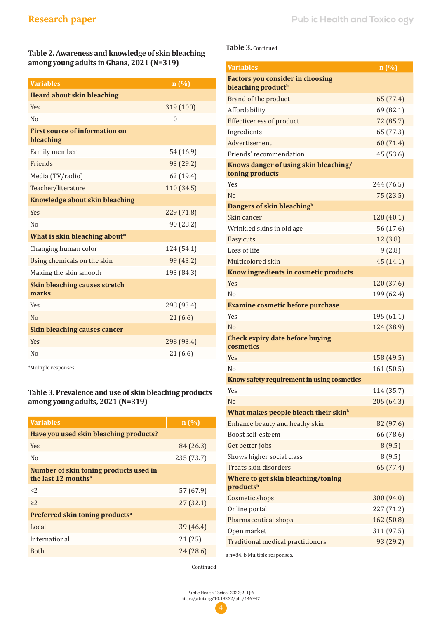**Table 2. Awareness and knowledge of skin bleaching among young adults in Ghana, 2021 (N=319)**

| <b>Variables</b>                                   | n (%)      |
|----------------------------------------------------|------------|
| <b>Heard about skin bleaching</b>                  |            |
| <b>Yes</b>                                         | 319 (100)  |
| No                                                 | $\Omega$   |
| <b>First source of information on</b><br>bleaching |            |
| Family member                                      | 54 (16.9)  |
| Friends                                            | 93 (29.2)  |
| Media (TV/radio)                                   | 62 (19.4)  |
| Teacher/literature                                 | 110 (34.5) |
| Knowledge about skin bleaching                     |            |
| <b>Yes</b>                                         | 229 (71.8) |
| No                                                 | 90 (28.2)  |
| What is skin bleaching about*                      |            |
| Changing human color                               | 124 (54.1) |
| Using chemicals on the skin                        | 99 (43.2)  |
| Making the skin smooth                             | 193 (84.3) |
| <b>Skin bleaching causes stretch</b><br>marks      |            |
| Yes                                                | 298 (93.4) |
| No                                                 | 21(6.6)    |
| <b>Skin bleaching causes cancer</b>                |            |
| <b>Yes</b>                                         | 298 (93.4) |
| No                                                 | 21(6.6)    |
|                                                    |            |

\*Multiple responses.

# **Table 3. Prevalence and use of skin bleaching products among young adults, 2021 (N=319)**

| <b>Variables</b>                                                          | n(%)       |
|---------------------------------------------------------------------------|------------|
| Have you used skin bleaching products?                                    |            |
| Yes                                                                       | 84 (26.3)  |
| No                                                                        | 235 (73.7) |
| Number of skin toning products used in<br>the last 12 months <sup>a</sup> |            |
| <                                                                         | 57 (67.9)  |
| $>2$ .                                                                    | 27(32.1)   |
| Preferred skin toning products <sup>a</sup>                               |            |
| Local                                                                     | 39(46.4)   |
| International                                                             | 21(25)     |
| <b>Both</b>                                                               | 24(28.6)   |
|                                                                           |            |

# **Table 3.** Continued

| <b>Variables</b>                                                          | n (%)      |
|---------------------------------------------------------------------------|------------|
| <b>Factors you consider in choosing</b><br>bleaching product <sup>b</sup> |            |
| Brand of the product                                                      | 65 (77.4)  |
| Affordability                                                             | 69 (82.1)  |
| <b>Effectiveness of product</b>                                           | 72 (85.7)  |
| Ingredients                                                               | 65 (77.3)  |
| Advertisement                                                             | 60 (71.4)  |
| Friends' recommendation                                                   | 45 (53.6)  |
| Knows danger of using skin bleaching/<br>toning products                  |            |
| Yes                                                                       | 244 (76.5) |
| No                                                                        | 75 (23.5)  |
| Dangers of skin bleaching <sup>b</sup>                                    |            |
| Skin cancer                                                               | 128 (40.1) |
| Wrinkled skins in old age                                                 | 56 (17.6)  |
| Easy cuts                                                                 | 12(3.8)    |
| Loss of life                                                              | 9(2.8)     |
| Multicolored skin                                                         | 45 (14.1)  |
| Know ingredients in cosmetic products                                     |            |
| Yes                                                                       | 120 (37.6) |
| N <sub>0</sub>                                                            | 199 (62.4) |
| <b>Examine cosmetic before purchase</b>                                   |            |
| <b>Yes</b>                                                                | 195 (61.1) |
| No                                                                        | 124 (38.9) |
| <b>Check expiry date before buying</b><br>cosmetics                       |            |
| <b>Yes</b>                                                                | 158 (49.5) |
| N <sub>0</sub>                                                            | 161 (50.5) |
| Know safety requirement in using cosmetics                                |            |
| Yes                                                                       | 114 (35.7) |
| N <sub>0</sub>                                                            | 205 (64.3) |
| What makes people bleach their skin <sup>b</sup>                          |            |
| Enhance beauty and heathy skin                                            | 82 (97.6)  |
| Boost self-esteem                                                         | 66 (78.6)  |
| Get better jobs                                                           | 8(9.5)     |
| Shows higher social class                                                 | 8(9.5)     |
| Treats skin disorders                                                     | 65 (77.4)  |
| Where to get skin bleaching/toning                                        |            |
| products <sup>b</sup>                                                     |            |
| Cosmetic shops                                                            | 300 (94.0) |
| Online portal                                                             | 227 (71.2) |
| Pharmaceutical shops                                                      | 162 (50.8) |
| Open market                                                               | 311 (97.5) |
| <b>Traditional medical practitioners</b>                                  | 93 (29.2)  |

a n=84. b Multiple responses.

Continued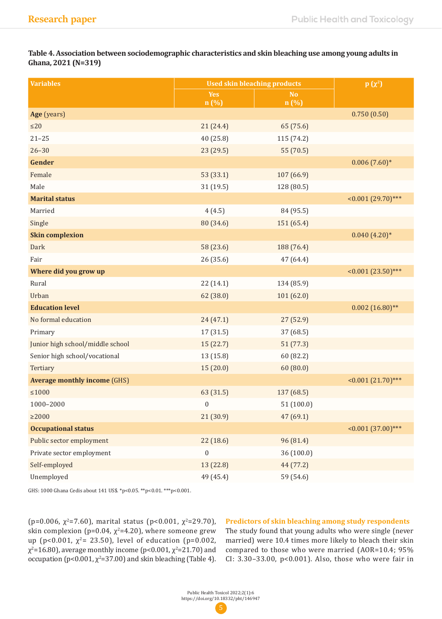**Table 4. Association between sociodemographic characteristics and skin bleaching use among young adults in Ghana, 2021 (N=319)**

| <b>Variables</b>                    | <b>Used skin bleaching products</b> |                         | $p(x^2)$                |
|-------------------------------------|-------------------------------------|-------------------------|-------------------------|
|                                     | Yes<br>n (%)                        | N <sub>o</sub><br>n (%) |                         |
| Age (years)                         |                                     |                         | 0.750(0.50)             |
| $\leq$ 20                           | 21 (24.4)                           | 65 (75.6)               |                         |
| $21 - 25$                           | 40 (25.8)                           | 115 (74.2)              |                         |
| $26 - 30$                           | 23 (29.5)                           | 55 (70.5)               |                         |
| Gender                              |                                     |                         | $0.006(7.60)*$          |
| Female                              | 53 (33.1)                           | 107 (66.9)              |                         |
| Male                                | 31 (19.5)                           | 128 (80.5)              |                         |
| <b>Marital status</b>               |                                     |                         | $\leq 0.001(29.70)$ *** |
| Married                             | 4(4.5)                              | 84 (95.5)               |                         |
| Single                              | 80 (34.6)                           | 151 (65.4)              |                         |
| <b>Skin complexion</b>              |                                     |                         | $0.040(4.20)*$          |
| Dark                                | 58 (23.6)                           | 188 (76.4)              |                         |
| Fair                                | 26 (35.6)                           | 47 (64.4)               |                         |
| Where did you grow up               |                                     |                         | $\leq 0.001(23.50)$ *** |
| Rural                               | 22 (14.1)                           | 134 (85.9)              |                         |
| Urban                               | 62 (38.0)                           | 101(62.0)               |                         |
| <b>Education level</b>              |                                     |                         | $0.002(16.80)$ **       |
| No formal education                 | 24 (47.1)                           | 27 (52.9)               |                         |
| Primary                             | 17 (31.5)                           | 37 (68.5)               |                         |
| Junior high school/middle school    | 15 (22.7)                           | 51(77.3)                |                         |
| Senior high school/vocational       | 13 (15.8)                           | 60 (82.2)               |                         |
| Tertiary                            | 15(20.0)                            | 60(80.0)                |                         |
| <b>Average monthly income (GHS)</b> |                                     |                         | $\leq 0.001(21.70)$ *** |
| $\leq\!\!1000$                      | 63 (31.5)                           | 137 (68.5)              |                         |
| 1000-2000                           | $\boldsymbol{0}$                    | 51(100.0)               |                         |
| $\geq$ 2000                         | 21 (30.9)                           | 47 (69.1)               |                         |
| <b>Occupational status</b>          |                                     |                         | $\leq 0.001(37.00)$ *** |
| Public sector employment            | 22 (18.6)                           | 96 (81.4)               |                         |
| Private sector employment           | $\boldsymbol{0}$                    | 36 (100.0)              |                         |
| Self-employed                       | 13 (22.8)                           | 44 (77.2)               |                         |
| Unemployed                          | 49 (45.4)                           | 59 (54.6)               |                         |

GHS: 1000 Ghana Cedis about 141 US\$. \*p<0.05. \*\*p<0.01. \*\*\*p<0.001.

(p=0.006,  $\chi^2$ =7.60), marital status (p<0.001,  $\chi^2$ =29.70), skin complexion (p=0.04,  $\chi^2$ =4.20), where someone grew up (p<0.001,  $\chi^2$ = 23.50), level of education (p=0.002,  $\chi^2$ =16.80), average monthly income (p<0.001,  $\chi^2$ =21.70) and occupation (p<0.001,  $\chi^2$ =37.00) and skin bleaching (Table 4).

**Predictors of skin bleaching among study respondents** 

The study found that young adults who were single (never married) were 10.4 times more likely to bleach their skin compared to those who were married (AOR=10.4; 95% CI: 3.30–33.00, p<0.001). Also, those who were fair in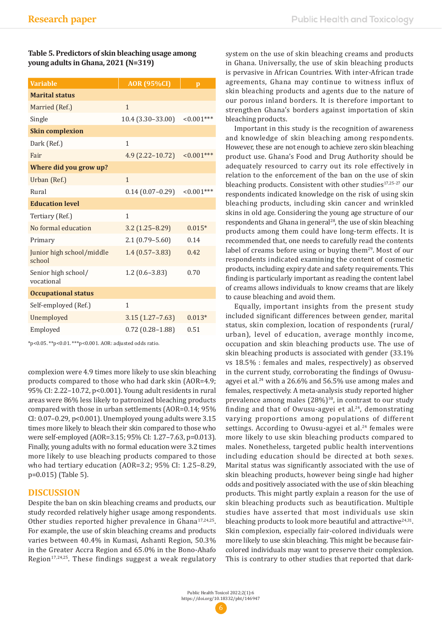| Table 5. Predictors of skin bleaching usage among |
|---------------------------------------------------|
| young adults in Ghana, 2021 (N=319)               |

| <b>AOR</b> (95%CI)  | $\mathbf{p}$  |
|---------------------|---------------|
|                     |               |
| $\mathbf{1}$        |               |
| $10.4(3.30-33.00)$  | $< 0.001$ *** |
|                     |               |
| $\mathbf{1}$        |               |
| $4.9(2.22 - 10.72)$ | $< 0.001***$  |
|                     |               |
| $\mathbf{1}$        |               |
| $0.14(0.07-0.29)$   | $< 0.001$ *** |
|                     |               |
| 1                   |               |
| $3.2(1.25 - 8.29)$  | $0.015*$      |
| $2.1(0.79 - 5.60)$  | 0.14          |
| $1.4(0.57 - 3.83)$  | 0.42          |
| $1.2(0.6 - 3.83)$   | 0.70          |
|                     |               |
| 1                   |               |
| $3.15(1.27 - 7.63)$ | $0.013*$      |
| $0.72(0.28 - 1.88)$ | 0.51          |
|                     |               |

\*p<0.05. \*\*p<0.01. \*\*\*p<0.001. AOR: adjusted odds ratio.

complexion were 4.9 times more likely to use skin bleaching products compared to those who had dark skin (AOR=4.9; 95% CI: 2.22–10.72, p<0.001). Young adult residents in rural areas were 86% less likely to patronized bleaching products compared with those in urban settlements (AOR=0.14; 95% CI: 0.07–0.29, p<0.001). Unemployed young adults were 3.15 times more likely to bleach their skin compared to those who were self-employed (AOR=3.15; 95% CI: 1.27–7.63, p=0.013). Finally, young adults with no formal education were 3.2 times more likely to use bleaching products compared to those who had tertiary education (AOR=3.2; 95% CI: 1.25–8.29, p=0.015) (Table 5).

# **DISCUSSION**

Despite the ban on skin bleaching creams and products, our study recorded relatively higher usage among respondents. Other studies reported higher prevalence in Ghana<sup>17,24,25</sup>. For example, the use of skin bleaching creams and products varies between 40.4% in Kumasi, Ashanti Region, 50.3% in the Greater Accra Region and 65.0% in the Bono-Ahafo Region $17,24,25$ . These findings suggest a weak regulatory system on the use of skin bleaching creams and products in Ghana. Universally, the use of skin bleaching products is pervasive in African Countries. With inter-African trade agreements, Ghana may continue to witness influx of skin bleaching products and agents due to the nature of our porous inland borders. It is therefore important to strengthen Ghana's borders against importation of skin bleaching products.

Important in this study is the recognition of awareness and knowledge of skin bleaching among respondents. However, these are not enough to achieve zero skin bleaching product use. Ghana's Food and Drug Authority should be adequately resourced to carry out its role effectively in relation to the enforcement of the ban on the use of skin bleaching products. Consistent with other studies<sup>17,25-27</sup> our respondents indicated knowledge on the risk of using skin bleaching products, including skin cancer and wrinkled skins in old age. Considering the young age structure of our respondents and Ghana in general<sup>28</sup>, the use of skin bleaching products among them could have long-term effects. It is recommended that, one needs to carefully read the contents label of creams before using or buying them<sup>29</sup>. Most of our respondents indicated examining the content of cosmetic products, including expiry date and safety requirements. This finding is particularly important as reading the content label of creams allows individuals to know creams that are likely to cause bleaching and avoid them.

Equally, important insights from the present study included significant differences between gender, marital status, skin complexion, location of respondents (rural/ urban), level of education, average monthly income, occupation and skin bleaching products use. The use of skin bleaching products is associated with gender (33.1% vs 18.5% : females and males, respectively) as observed in the current study, corroborating the findings of Owusuagyei et al.<sup>24</sup> with a 26.6% and 56.5% use among males and females, respectively. A meta-analysis study reported higher prevalence among males  $(28\%)^{30}$ , in contrast to our study finding and that of Owusu-agyei et al. $24$ , demonstrating varying proportions among populations of different settings. According to Owusu-agyei et al.<sup>24</sup> females were more likely to use skin bleaching products compared to males. Nonetheless, targeted public health interventions including education should be directed at both sexes. Marital status was significantly associated with the use of skin bleaching products, however being single had higher odds and positively associated with the use of skin bleaching products. This might partly explain a reason for the use of skin bleaching products such as beautification. Multiple studies have asserted that most individuals use skin bleaching products to look more beautiful and attractive $24,31$ . Skin complexion, especially fair-colored individuals were more likely to use skin bleaching. This might be because faircolored individuals may want to preserve their complexion. This is contrary to other studies that reported that dark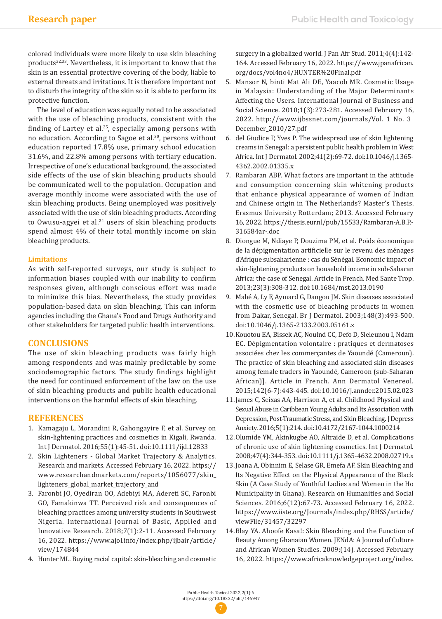colored individuals were more likely to use skin bleaching products<sup>32,33</sup>. Nevertheless, it is important to know that the skin is an essential protective covering of the body, liable to external threats and irritations. It is therefore important not to disturb the integrity of the skin so it is able to perform its protective function.

The level of education was equally noted to be associated with the use of bleaching products, consistent with the finding of Lartey et al. $25$ , especially among persons with no education. According to Sagoe et al.30, persons without education reported 17.8% use, primary school education 31.6%, and 22.8% among persons with tertiary education. Irrespective of one's educational background, the associated side effects of the use of skin bleaching products should be communicated well to the population. Occupation and average monthly income were associated with the use of skin bleaching products. Being unemployed was positively associated with the use of skin bleaching products. According to Owusu-agyei et al.<sup>24</sup> users of skin bleaching products spend almost 4% of their total monthly income on skin bleaching products.

### **Limitations**

As with self-reported surveys, our study is subject to information biases coupled with our inability to confirm responses given, although conscious effort was made to minimize this bias. Nevertheless, the study provides population-based data on skin bleaching. This can inform agencies including the Ghana's Food and Drugs Authority and other stakeholders for targeted public health interventions.

# **CONCLUSIONS**

The use of skin bleaching products was fairly high among respondents and was mainly predictable by some sociodemographic factors. The study findings highlight the need for continued enforcement of the law on the use of skin bleaching products and public health educational interventions on the harmful effects of skin bleaching.

# **REFERENCES**

- 1. Kamagaju L, Morandini R, Gahongayire F, et al. Survey on skin-lightening practices and cosmetics in Kigali, Rwanda. Int J Dermatol. 2016;55(1):45-51. doi:10.1111/ijd.12833
- 2. Skin Lighteners Global Market Trajectory & Analytics. Research and markets. Accessed February 16, 2022. https:// www.researchandmarkets.com/reports/1056077/skin\_ lighteners\_global\_market\_trajectory\_and
- 3. Faronbi JO, Oyediran OO, Adebiyi MA, Adereti SC, Faronbi GO, Famakinwa TT. Perceived risk and consequences of bleaching practices among university students in Southwest Nigeria. International Journal of Basic, Applied and Innovative Research. 2018;7(1):2-11. Accessed February 16, 2022. https://www.ajol.info/index.php/ijbair/article/ view/174844
- 4. Hunter ML. Buying racial capital: skin-bleaching and cosmetic

surgery in a globalized world. J Pan Afr Stud. 2011;4(4):142-164. Accessed February 16, 2022. https://www.jpanafrican. org/docs/vol4no4/HUNTER%20Final.pdf

- 5. Mansor N, binti Mat Ali DE, Yaacob MR. Cosmetic Usage in Malaysia: Understanding of the Major Determinants Affecting the Users. International Journal of Business and Social Science. 2010;1(3):273-281. Accessed February 16, 2022. http://www.ijbssnet.com/journals/Vol.\_1\_No.\_3\_ December\_2010/27.pdf
- 6. del Giudice P, Yves P. The widespread use of skin lightening creams in Senegal: a persistent public health problem in West Africa. Int J Dermatol. 2002;41(2):69-72. doi:10.1046/j.1365- 4362.2002.01335.x
- 7. Rambaran ABP. What factors are important in the attitude and consumption concerning skin whitening products that enhance physical appearance of women of Indian and Chinese origin in The Netherlands? Master's Thesis. Erasmus University Rotterdam; 2013. Accessed February 16, 2022. https://thesis.eur.nl/pub/15533/Rambaran-A.B.P.- 316584ar-.doc
- 8. Diongue M, Ndiaye P, Douzima PM, et al. Poids économique de la dépigmentation artificielle sur le revenu des ménages d'Afrique subsaharienne : cas du Sénégal. Economic impact of skin-lightening products on household income in sub-Saharan Africa: the case of Senegal. Article in French. Med Sante Trop. 2013;23(3):308-312. doi:10.1684/mst.2013.0190
- 9. Mahé A, Ly F, Aymard G, Dangou JM. Skin diseases associated with the cosmetic use of bleaching products in women from Dakar, Senegal. Br J Dermatol. 2003;148(3):493-500. doi:10.1046/j.1365-2133.2003.05161.x
- 10.Kouotou EA, Bissek AC, Nouind CC, Defo D, Sieleunou I, Ndam EC. Dépigmentation volontaire : pratiques et dermatoses associées chez les commerçantes de Yaoundé (Cameroun). The practice of skin bleaching and associated skin diseases among female traders in Yaoundé, Cameroon (sub-Saharan African)]. Article in French. Ann Dermatol Venereol. 2015;142(6-7):443-445. doi:10.1016/j.annder.2015.02.023
- 11.James C, Seixas AA, Harrison A, et al. Childhood Physical and Sexual Abuse in Caribbean Young Adults and Its Association with Depression, Post-Traumatic Stress, and Skin Bleaching. J Depress Anxiety. 2016;5(1):214. doi:10.4172/2167-1044.1000214
- 12.Olumide YM, Akinkugbe AO, Altraide D, et al. Complications of chronic use of skin lightening cosmetics. Int J Dermatol. 2008;47(4):344-353. doi:10.1111/j.1365-4632.2008.02719.x
- 13.Joana A, Obinnim E, Selase GR, Emefa AF. Skin Bleaching and Its Negative Effect on the Physical Appearance of the Black Skin (A Case Study of Youthful Ladies and Women in the Ho Municipality in Ghana). Research on Humanities and Social Sciences. 2016;6(12):67-73. Accessed February 16, 2022. https://www.iiste.org/Journals/index.php/RHSS/article/ viewFile/31457/32297
- 14.Blay YA. Ahoofe Kasa!: Skin Bleaching and the Function of Beauty Among Ghanaian Women. JENdA: A Journal of Culture and African Women Studies. 2009;(14). Accessed February 16, 2022. https://www.africaknowledgeproject.org/index.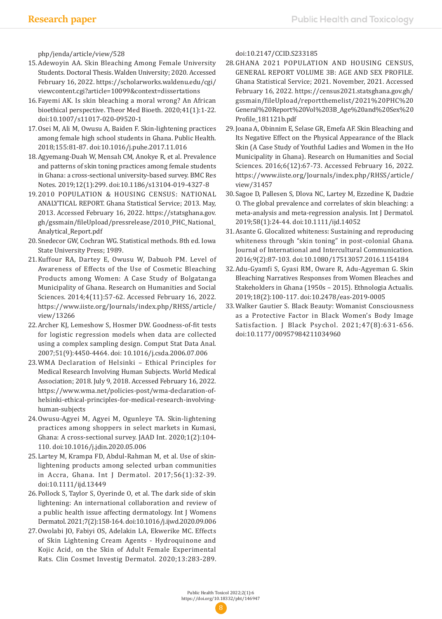php/jenda/article/view/528

- 15.Adewoyin AA. Skin Bleaching Among Female University Students. Doctoral Thesis. Walden University; 2020. Accessed February 16, 2022. https://scholarworks.waldenu.edu/cgi/ viewcontent.cgi?article=10099&context=dissertations
- 16.Fayemi AK. Is skin bleaching a moral wrong? An African bioethical perspective. Theor Med Bioeth. 2020;41(1):1-22. doi:10.1007/s11017-020-09520-1
- 17.Osei M, Ali M, Owusu A, Baiden F. Skin-lightening practices among female high school students in Ghana. Public Health. 2018;155:81-87. doi:10.1016/j.puhe.2017.11.016
- 18.Agyemang-Duah W, Mensah CM, Anokye R, et al. Prevalence and patterns of skin toning practices among female students in Ghana: a cross-sectional university-based survey. BMC Res Notes. 2019;12(1):299. doi:10.1186/s13104-019-4327-8
- 19.2010 POPULATION & HOUSING CENSUS: NATIONAL ANALYTICAL REPORT. Ghana Statistical Service; 2013. May, 2013. Accessed February 16, 2022. https://statsghana.gov. gh/gssmain/fileUpload/pressrelease/2010\_PHC\_National\_ Analytical\_Report.pdf
- 20.Snedecor GW, Cochran WG. Statistical methods. 8th ed. Iowa State University Press; 1989.
- 21.Kuffour RA, Dartey E, Owusu W, Dabuoh PM. Level of Awareness of Effects of the Use of Cosmetic Bleaching Products among Women: A Case Study of Bolgatanga Municipality of Ghana. Research on Humanities and Social Sciences. 2014;4(11):57-62. Accessed February 16, 2022. https://www.iiste.org/Journals/index.php/RHSS/article/ view/13266
- 22.Archer KJ, Lemeshow S, Hosmer DW. Goodness-of-fit tests for logistic regression models when data are collected using a complex sampling design. Comput Stat Data Anal. 2007;51(9):4450-4464. doi: 10.1016/j.csda.2006.07.006
- 23.WMA Declaration of Helsinki Ethical Principles for Medical Research Involving Human Subjects. World Medical Association; 2018. July 9, 2018. Accessed February 16, 2022. https://www.wma.net/policies-post/wma-declaration-ofhelsinki-ethical-principles-for-medical-research-involvinghuman-subjects
- 24.Owusu-Agyei M, Agyei M, Ogunleye TA. Skin-lightening practices among shoppers in select markets in Kumasi, Ghana: A cross-sectional survey. JAAD Int. 2020;1(2):104- 110. doi:10.1016/j.jdin.2020.05.006
- 25.Lartey M, Krampa FD, Abdul-Rahman M, et al. Use of skinlightening products among selected urban communities in Accra, Ghana. Int J Dermatol. 2017;56(1):32-39. doi:10.1111/ijd.13449
- 26.Pollock S, Taylor S, Oyerinde O, et al. The dark side of skin lightening: An international collaboration and review of a public health issue affecting dermatology. Int J Womens Dermatol. 2021;7(2):158-164. doi:10.1016/j.ijwd.2020.09.006
- 27.Owolabi JO, Fabiyi OS, Adelakin LA, Ekwerike MC. Effects of Skin Lightening Cream Agents - Hydroquinone and Kojic Acid, on the Skin of Adult Female Experimental Rats. Clin Cosmet Investig Dermatol. 2020;13:283-289.

doi:10.2147/CCID.S233185

- 28.GHANA 2021 POPULATION AND HOUSING CENSUS, GENERAL REPORT VOLUME 3B: AGE AND SEX PROFILE. Ghana Statistical Service; 2021. November, 2021. Accessed February 16, 2022. https://census2021.statsghana.gov.gh/ gssmain/fileUpload/reportthemelist/2021%20PHC%20 General%20Report%20Vol%203B\_Age%20and%20Sex%20 Profile\_181121b.pdf
- 29.Joana A, Obinnim E, Selase GR, Emefa AF. Skin Bleaching and Its Negative Effect on the Physical Appearance of the Black Skin (A Case Study of Youthful Ladies and Women in the Ho Municipality in Ghana). Research on Humanities and Social Sciences. 2016;6(12):67-73. Accessed February 16, 2022. https://www.iiste.org/Journals/index.php/RHSS/article/ view/31457
- 30.Sagoe D, Pallesen S, Dlova NC, Lartey M, Ezzedine K, Dadzie O. The global prevalence and correlates of skin bleaching: a meta-analysis and meta-regression analysis. Int J Dermatol. 2019;58(1):24-44. doi:10.1111/ijd.14052
- 31.Asante G. Glocalized whiteness: Sustaining and reproducing whiteness through "skin toning" in post-colonial Ghana. Journal of International and Intercultural Communication. 2016;9(2):87-103. doi:10.1080/17513057.2016.1154184
- 32.Adu-Gyamfi S, Gyasi RM, Oware R, Adu-Agyeman G. Skin Bleaching Narratives Responses from Women Bleaches and Stakeholders in Ghana (1950s – 2015). Ethnologia Actualis. 2019;18(2):100-117. doi:10.2478/eas-2019-0005
- 33.Walker Gautier S. Black Beauty: Womanist Consciousness as a Protective Factor in Black Women's Body Image Satisfaction. J Black Psychol. 2021;47(8):631-656. doi:10.1177/00957984211034960